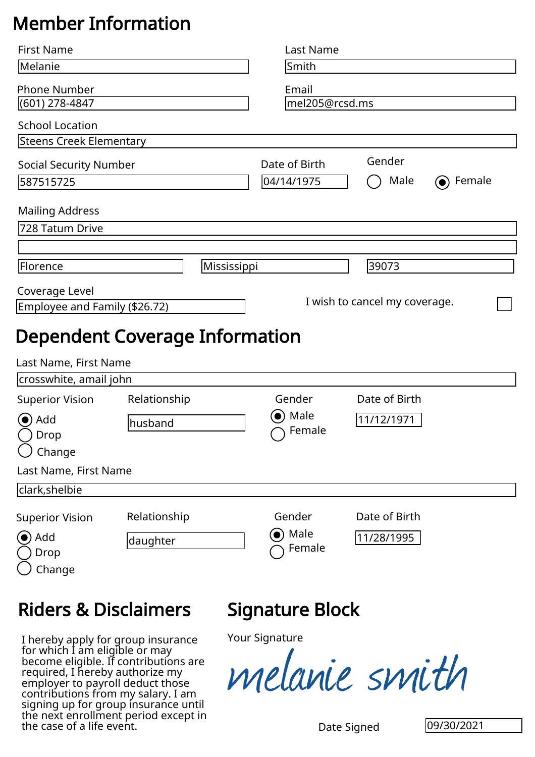## Member Information

| <b>First Name</b>                                                                                                                                                                                                                                                                                                                       |                         |             | <b>Last Name</b>                                     |                               |            |
|-----------------------------------------------------------------------------------------------------------------------------------------------------------------------------------------------------------------------------------------------------------------------------------------------------------------------------------------|-------------------------|-------------|------------------------------------------------------|-------------------------------|------------|
| Melanie                                                                                                                                                                                                                                                                                                                                 |                         |             | Smith                                                |                               |            |
| <b>Phone Number</b><br>(601) 278-4847                                                                                                                                                                                                                                                                                                   |                         |             | Email<br>mel205@rcsd.ms                              |                               |            |
| <b>School Location</b>                                                                                                                                                                                                                                                                                                                  |                         |             |                                                      |                               |            |
| Steens Creek Elementary                                                                                                                                                                                                                                                                                                                 |                         |             |                                                      |                               |            |
| <b>Social Security Number</b>                                                                                                                                                                                                                                                                                                           |                         |             | Date of Birth                                        | Gender                        |            |
| 587515725                                                                                                                                                                                                                                                                                                                               |                         |             | 04/14/1975                                           | Male                          | Female     |
| <b>Mailing Address</b>                                                                                                                                                                                                                                                                                                                  |                         |             |                                                      |                               |            |
| 728 Tatum Drive                                                                                                                                                                                                                                                                                                                         |                         |             |                                                      |                               |            |
|                                                                                                                                                                                                                                                                                                                                         |                         |             |                                                      |                               |            |
| Florence                                                                                                                                                                                                                                                                                                                                |                         | Mississippi |                                                      | 39073                         |            |
| Coverage Level                                                                                                                                                                                                                                                                                                                          |                         |             |                                                      |                               |            |
| Employee and Family (\$26.72)                                                                                                                                                                                                                                                                                                           |                         |             |                                                      | I wish to cancel my coverage. |            |
| Last Name, First Name<br>crosswhite, amail john<br><b>Superior Vision</b><br>Add<br>Drop<br>Change<br>Last Name, First Name<br>clark, shelbie                                                                                                                                                                                           | Relationship<br>husband |             | Gender<br>Male<br>$\left( \bullet \right)$<br>Female | Date of Birth<br>11/12/1971   |            |
| <b>Superior Vision</b>                                                                                                                                                                                                                                                                                                                  | Relationship            |             | Gender                                               | Date of Birth                 |            |
| (●) Add<br>Drop<br>Change                                                                                                                                                                                                                                                                                                               | daughter                |             | $\bullet$ ) Male<br>Female                           | 11/28/1995                    |            |
| <b>Riders &amp; Disclaimers</b>                                                                                                                                                                                                                                                                                                         |                         |             | Signature Block                                      |                               |            |
| I hereby apply for group insurance<br>for which I am eligible or may<br>become eligible. If contributions are<br>required, I hereby authorize my<br>employer to payroll deduct those<br>contributions from my salary. I am<br>signing up for group insurance until<br>the next enrollment period except in<br>the case of a life event. |                         |             | <b>Your Signature</b><br>melanie smith               | Date Signed                   | 09/30/2021 |

## Riders & Disclaimers

## Signature Block

Your Signature

Date Signed